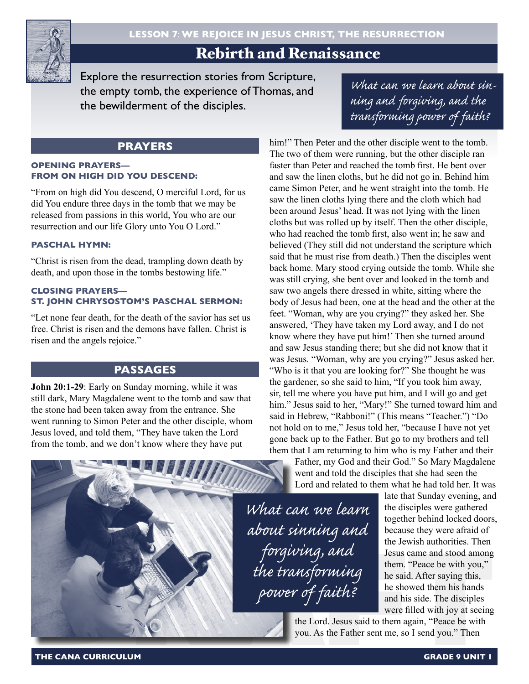



# Rebirth and Renaissance

Explore the resurrection stories from Scripture, the empty tomb, the experience of Thomas, and the bewilderment of the disciples.

What can we learn about sinning and forgiving, and the transforming power of faith?

# **PRAYERS**

#### **OPENING PRAYERS— FROM ON HIGH DID YOU DESCEND:**

"From on high did You descend, O merciful Lord, for us did You endure three days in the tomb that we may be released from passions in this world, You who are our resurrection and our life Glory unto You O Lord."

#### **PASCHAL HYMN:**

"Christ is risen from the dead, trampling down death by death, and upon those in the tombs bestowing life."

## **CLOSING PRAYERS— ST. JOHN CHRYSOSTOM'S PASCHAL SERMON:**

"Let none fear death, for the death of the savior has set us free. Christ is risen and the demons have fallen. Christ is risen and the angels rejoice."

## **PASSAGES**

**John 20:1-29**: Early on Sunday morning, while it was still dark, Mary Magdalene went to the tomb and saw that the stone had been taken away from the entrance. She went running to Simon Peter and the other disciple, whom Jesus loved, and told them, "They have taken the Lord from the tomb, and we don't know where they have put

him!" Then Peter and the other disciple went to the tomb. The two of them were running, but the other disciple ran faster than Peter and reached the tomb first. He bent over and saw the linen cloths, but he did not go in. Behind him came Simon Peter, and he went straight into the tomb. He saw the linen cloths lying there and the cloth which had been around Jesus' head. It was not lying with the linen cloths but was rolled up by itself. Then the other disciple, who had reached the tomb first, also went in; he saw and believed (They still did not understand the scripture which said that he must rise from death.) Then the disciples went back home. Mary stood crying outside the tomb. While she was still crying, she bent over and looked in the tomb and saw two angels there dressed in white, sitting where the body of Jesus had been, one at the head and the other at the feet. "Woman, why are you crying?" they asked her. She answered, 'They have taken my Lord away, and I do not know where they have put him!' Then she turned around and saw Jesus standing there; but she did not know that it was Jesus. "Woman, why are you crying?" Jesus asked her. "Who is it that you are looking for?" She thought he was the gardener, so she said to him, "If you took him away, sir, tell me where you have put him, and I will go and get him." Jesus said to her, "Mary!" She turned toward him and said in Hebrew, "Rabboni!" (This means "Teacher.") "Do not hold on to me," Jesus told her, "because I have not yet gone back up to the Father. But go to my brothers and tell them that I am returning to him who is my Father and their

Father, my God and their God." So Mary Magdalene went and told the disciples that she had seen the Lord and related to them what he had told her. It was

What can we learn about sinning and forgiving, and the transforming power of faith?

late that Sunday evening, and the disciples were gathered together behind locked doors, because they were afraid of the Jewish authorities. Then Jesus came and stood among them. "Peace be with you," he said. After saying this, he showed them his hands and his side. The disciples were filled with joy at seeing

the Lord. Jesus said to them again, "Peace be with you. As the Father sent me, so I send you." Then